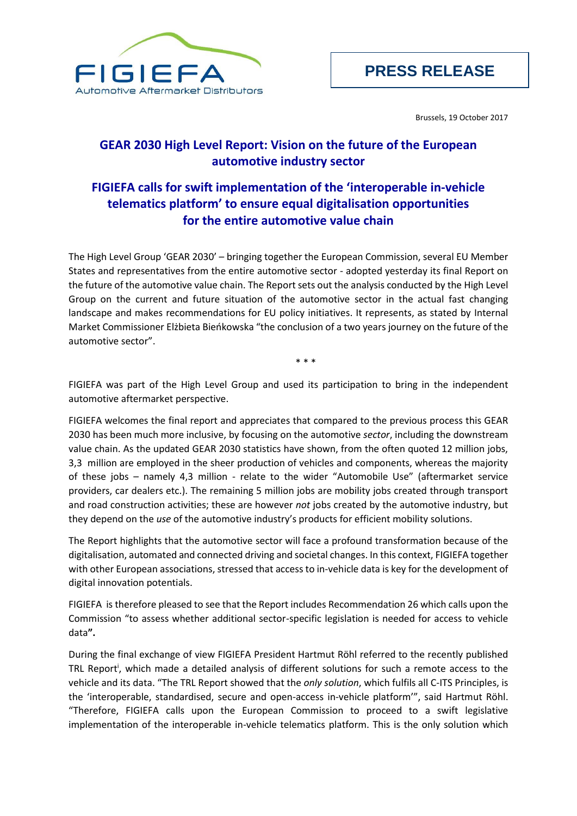

Brussels, 19 October 2017

## **GEAR 2030 High Level Report: Vision on the future of the European automotive industry sector**

## **FIGIEFA calls for swift implementation of the 'interoperable in-vehicle telematics platform' to ensure equal digitalisation opportunities for the entire automotive value chain**

The High Level Group 'GEAR 2030' – bringing together the European Commission, several EU Member States and representatives from the entire automotive sector - adopted yesterday its final Report on the future of the automotive value chain. The Report sets out the analysis conducted by the High Level Group on the current and future situation of the automotive sector in the actual fast changing landscape and makes recommendations for EU policy initiatives. It represents, as stated by Internal Market Commissioner Elżbieta Bieńkowska "the conclusion of a two years journey on the future of the automotive sector".

\* \* \*

FIGIEFA was part of the High Level Group and used its participation to bring in the independent automotive aftermarket perspective.

FIGIEFA welcomes the final report and appreciates that compared to the previous process this GEAR 2030 has been much more inclusive, by focusing on the automotive *sector*, including the downstream value chain. As the updated GEAR 2030 statistics have shown, from the often quoted 12 million jobs, 3,3 million are employed in the sheer production of vehicles and components, whereas the majority of these jobs – namely 4,3 million - relate to the wider "Automobile Use" (aftermarket service providers, car dealers etc.). The remaining 5 million jobs are mobility jobs created through transport and road construction activities; these are however *not* jobs created by the automotive industry, but they depend on the *use* of the automotive industry's products for efficient mobility solutions.

The Report highlights that the automotive sector will face a profound transformation because of the digitalisation, automated and connected driving and societal changes. In this context, FIGIEFA together with other European associations, stressed that access to in-vehicle data is key for the development of digital innovation potentials.

FIGIEFA is therefore pleased to see that the Report includes Recommendation 26 which calls upon the Commission "to assess whether additional sector-specific legislation is needed for access to vehicle data**".** 

During the final exchange of view FIGIEFA President Hartmut Röhl referred to the recently published TRL Report<sup>i</sup>, which made a detailed analysis of different solutions for such a remote access to the vehicle and its data. "The TRL Report showed that the *only solution*, which fulfils all C-ITS Principles, is the 'interoperable, standardised, secure and open-access in-vehicle platform'", said Hartmut Röhl. "Therefore, FIGIEFA calls upon the European Commission to proceed to a swift legislative implementation of the interoperable in-vehicle telematics platform. This is the only solution which